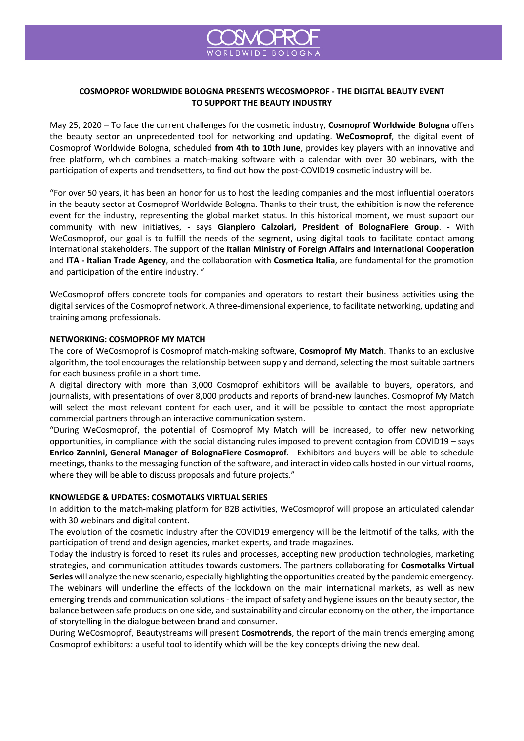

## **COSMOPROF WORLDWIDE BOLOGNA PRESENTS WECOSMOPROF - THE DIGITAL BEAUTY EVENT TO SUPPORT THE BEAUTY INDUSTRY**

May 25, 2020 – To face the current challenges for the cosmetic industry, **Cosmoprof Worldwide Bologna** offers the beauty sector an unprecedented tool for networking and updating. **WeCosmoprof**, the digital event of Cosmoprof Worldwide Bologna, scheduled **from 4th to 10th June**, provides key players with an innovative and free platform, which combines a match-making software with a calendar with over 30 webinars, with the participation of experts and trendsetters, to find out how the post-COVID19 cosmetic industry will be.

"For over 50 years, it has been an honor for us to host the leading companies and the most influential operators in the beauty sector at Cosmoprof Worldwide Bologna. Thanks to their trust, the exhibition is now the reference event for the industry, representing the global market status. In this historical moment, we must support our community with new initiatives, - says **Gianpiero Calzolari, President of BolognaFiere Group**. - With WeCosmoprof, our goal is to fulfill the needs of the segment, using digital tools to facilitate contact among international stakeholders. The support of the **Italian Ministry of Foreign Affairs and International Cooperation** and **ITA - Italian Trade Agency**, and the collaboration with **Cosmetica Italia**, are fundamental for the promotion and participation of the entire industry. "

WeCosmoprof offers concrete tools for companies and operators to restart their business activities using the digital services of the Cosmoprof network. A three-dimensional experience, to facilitate networking, updating and training among professionals.

## **NETWORKING: COSMOPROF MY MATCH**

The core of WeCosmoprof is Cosmoprof match-making software, **Cosmoprof My Match**. Thanks to an exclusive algorithm, the tool encourages the relationship between supply and demand, selecting the most suitable partners for each business profile in a short time.

A digital directory with more than 3,000 Cosmoprof exhibitors will be available to buyers, operators, and journalists, with presentations of over 8,000 products and reports of brand-new launches. Cosmoprof My Match will select the most relevant content for each user, and it will be possible to contact the most appropriate commercial partners through an interactive communication system.

"During WeCosmoprof, the potential of Cosmoprof My Match will be increased, to offer new networking opportunities, in compliance with the social distancing rules imposed to prevent contagion from COVID19 – says **Enrico Zannini, General Manager of BolognaFiere Cosmoprof**. - Exhibitors and buyers will be able to schedule meetings, thanks to the messaging function of the software, and interact in video calls hosted in our virtual rooms, where they will be able to discuss proposals and future projects."

## **KNOWLEDGE & UPDATES: COSMOTALKS VIRTUAL SERIES**

In addition to the match-making platform for B2B activities, WeCosmoprof will propose an articulated calendar with 30 webinars and digital content.

The evolution of the cosmetic industry after the COVID19 emergency will be the leitmotif of the talks, with the participation of trend and design agencies, market experts, and trade magazines.

Today the industry is forced to reset its rules and processes, accepting new production technologies, marketing strategies, and communication attitudes towards customers. The partners collaborating for **Cosmotalks Virtual Series** will analyze the new scenario, especially highlighting the opportunities created by the pandemic emergency. The webinars will underline the effects of the lockdown on the main international markets, as well as new emerging trends and communication solutions - the impact of safety and hygiene issues on the beauty sector, the balance between safe products on one side, and sustainability and circular economy on the other, the importance of storytelling in the dialogue between brand and consumer.

During WeCosmoprof, Beautystreams will present **Cosmotrends**, the report of the main trends emerging among Cosmoprof exhibitors: a useful tool to identify which will be the key concepts driving the new deal.